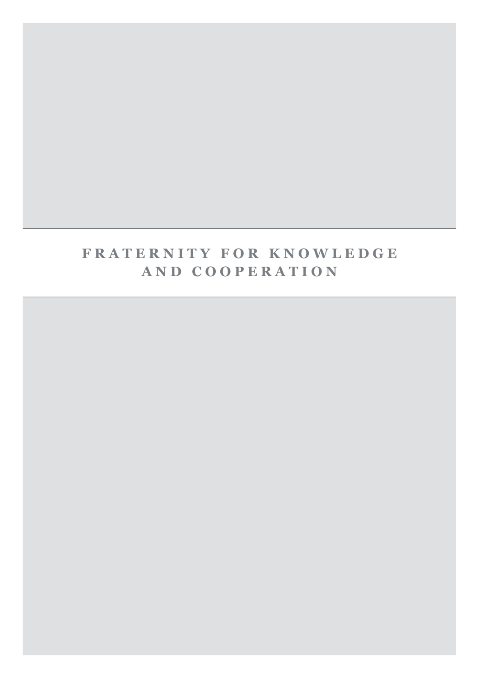## **FRATERNITY FOR KNOWLEDGE** AND COOPERATION

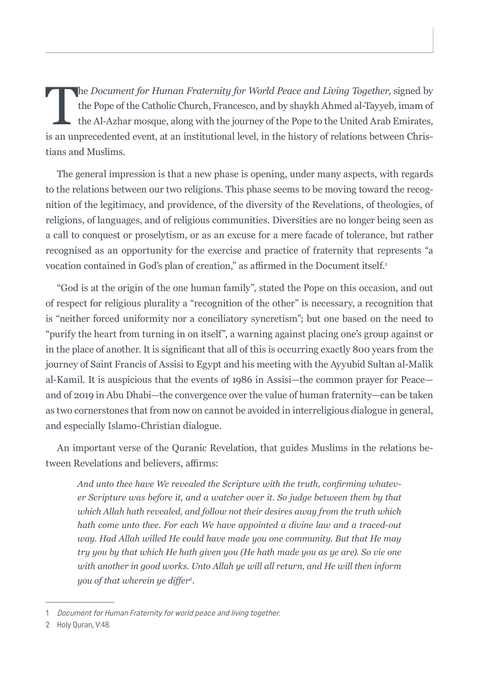The *Document for Human Fraternity for World Peace and Living Together,* signed by<br>the Pope of the Catholic Church, Francesco, and by shaykh Ahmed al-Tayyeb, imam of<br>the Al-Azhar mosque, along with the journey of the Pope the Pope of the Catholic Church, Francesco, and by shaykh Ahmed al-Tayyeb, imam of the Al-Azhar mosque, along with the journey of the Pope to the United Arab Emirates, is an unprecedented event, at an institutional level, in the history of relations between Christians and Muslims.

The general impression is that a new phase is opening, under many aspects, with regards to the relations between our two religions. This phase seems to be moving toward the recognition of the legitimacy, and providence, of the diversity of the Revelations, of theologies, of religions, of languages, and of religious communities. Diversities are no longer being seen as a call to conquest or proselytism, or as an excuse for a mere facade of tolerance, but rather recognised as an opportunity for the exercise and practice of fraternity that represents "a vocation contained in God's plan of creation," as affirmed in the Document itself.<sup>1</sup>

"God is at the origin of the one human family", stated the Pope on this occasion, and out of respect for religious plurality a "recognition of the other" is necessary, a recognition that is "neither forced uniformity nor a conciliatory syncretism"; but one based on the need to "purify the heart from turning in on itself", a warning against placing one's group against or in the place of another. It is significant that all of this is occurring exactly 800 years from the journey of Saint Francis of Assisi to Egypt and his meeting with the Ayyubid Sultan al-Malik al-Kamil. It is auspicious that the events of 1986 in Assisi—the common prayer for Peace and of 2019 in Abu Dhabi—the convergence over the value of human fraternity—can be taken as two cornerstones that from now on cannot be avoided in interreligious dialogue in general, and especially Islamo-Christian dialogue.

An important verse of the Quranic Revelation, that guides Muslims in the relations between Revelations and believers, affirms:

*And unto thee have We revealed the Scripture with the truth, confirming whatever Scripture was before it, and a watcher over it. So judge between them by that which Allah hath revealed, and follow not their desires away from the truth which hath come unto thee. For each We have appointed a divine law and a traced-out way. Had Allah willed He could have made you one community. But that He may try you by that which He hath given you (He hath made you as ye are). So vie one with another in good works. Unto Allah ye will all return, and He will then inform you of that wherein ye differ*<sup>2</sup>*.*

<sup>1</sup> Document for Human Fraternity for world peace and living together.

<sup>2</sup> Holy Quran, V:48.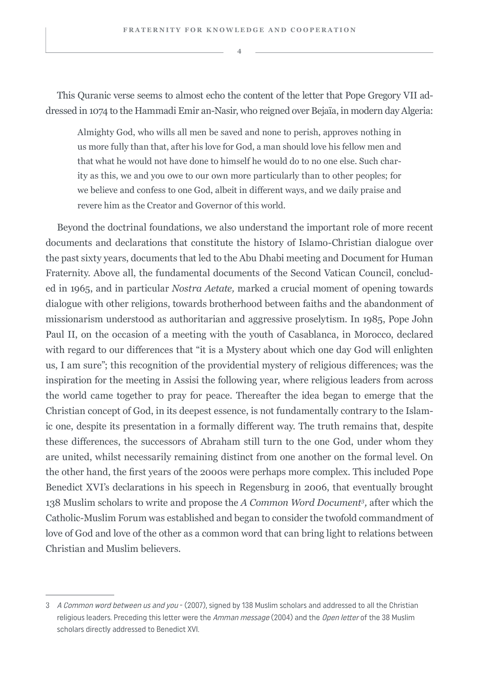This Quranic verse seems to almost echo the content of the letter that Pope Gregory VII addressed in 1074 to the Hammadi Emir an-Nasir, who reigned over Bejaïa, in modern day Algeria:

Almighty God, who wills all men be saved and none to perish, approves nothing in us more fully than that, after his love for God, a man should love his fellow men and that what he would not have done to himself he would do to no one else. Such charity as this, we and you owe to our own more particularly than to other peoples; for we believe and confess to one God, albeit in different ways, and we daily praise and revere him as the Creator and Governor of this world.

Beyond the doctrinal foundations, we also understand the important role of more recent documents and declarations that constitute the history of Islamo-Christian dialogue over the past sixty years, documents that led to the Abu Dhabi meeting and Document for Human Fraternity. Above all, the fundamental documents of the Second Vatican Council, concluded in 1965, and in particular *Nostra Aetate,* marked a crucial moment of opening towards dialogue with other religions, towards brotherhood between faiths and the abandonment of missionarism understood as authoritarian and aggressive proselytism. In 1985, Pope John Paul II, on the occasion of a meeting with the youth of Casablanca, in Morocco, declared with regard to our differences that "it is a Mystery about which one day God will enlighten us, I am sure"; this recognition of the providential mystery of religious differences, was the inspiration for the meeting in Assisi the following year, where religious leaders from across the world came together to pray for peace. Thereafter the idea began to emerge that the Christian concept of God, in its deepest essence, is not fundamentally contrary to the Islamic one, despite its presentation in a formally different way. The truth remains that, despite these differences, the successors of Abraham still turn to the one God, under whom they are united, whilst necessarily remaining distinct from one another on the formal level. On the other hand, the first years of the 2000s were perhaps more complex. This included Pope Benedict XVI's declarations in his speech in Regensburg in 2006, that eventually brought 138 Muslim scholars to write and propose the *A Common Word Document3,* after which the Catholic-Muslim Forum was established and began to consider the twofold commandment of love of God and love of the other as a common word that can bring light to relations between Christian and Muslim believers.

<sup>3</sup> A Common word between us and you - (2007), signed by 138 Muslim scholars and addressed to all the Christian religious leaders. Preceding this letter were the Amman message (2004) and the Open letter of the 38 Muslim scholars directly addressed to Benedict XVI.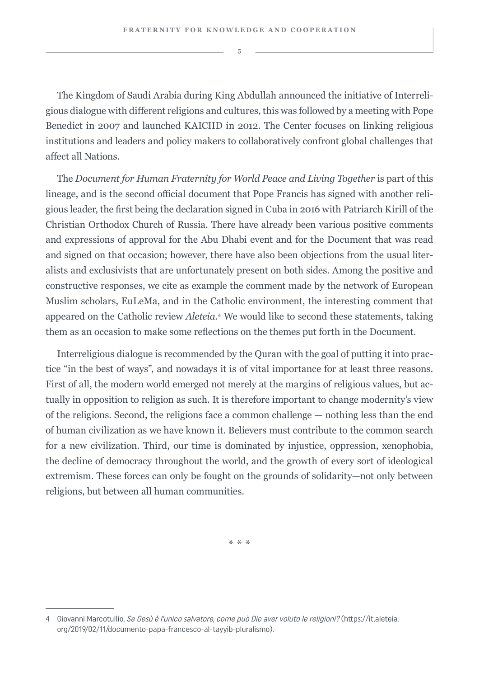The Kingdom of Saudi Arabia during King Abdullah announced the initiative of Interreligious dialogue with different religions and cultures, this was followed by a meeting with Pope Benedict in 2007 and launched KAICIID in 2012. The Center focuses on linking religious institutions and leaders and policy makers to collaboratively confront global challenges that affect all Nations.

The *Document for Human Fraternity for World Peace and Living Together* is part of this lineage, and is the second official document that Pope Francis has signed with another religious leader, the first being the declaration signed in Cuba in 2016 with Patriarch Kirill of the Christian Orthodox Church of Russia. There have already been various positive comments and expressions of approval for the Abu Dhabi event and for the Document that was read and signed on that occasion; however, there have also been objections from the usual literalists and exclusivists that are unfortunately present on both sides. Among the positive and constructive responses, we cite as example the comment made by the network of European Muslim scholars, EuLeMa, and in the Catholic environment, the interesting comment that appeared on the Catholic review *Aleteia*. 4 We would like to second these statements, taking them as an occasion to make some reflections on the themes put forth in the Document.

Interreligious dialogue is recommended by the Quran with the goal of putting it into practice "in the best of ways", and nowadays it is of vital importance for at least three reasons. First of all, the modern world emerged not merely at the margins of religious values, but actually in opposition to religion as such. It is therefore important to change modernity's view of the religions. Second, the religions face a common challenge — nothing less than the end of human civilization as we have known it. Believers must contribute to the common search for a new civilization. Third, our time is dominated by injustice, oppression, xenophobia, the decline of democracy throughout the world, and the growth of every sort of ideological extremism. These forces can only be fought on the grounds of solidarity—not only between religions, but between all human communities.

\*\*\*

<sup>4</sup> Giovanni Marcotullio, Se Gesù è l'unico salvatore, come può Dio aver voluto le religioni? (https://it.aleteia. org/2019/02/11/documento-papa-francesco-al-tayyib-pluralismo).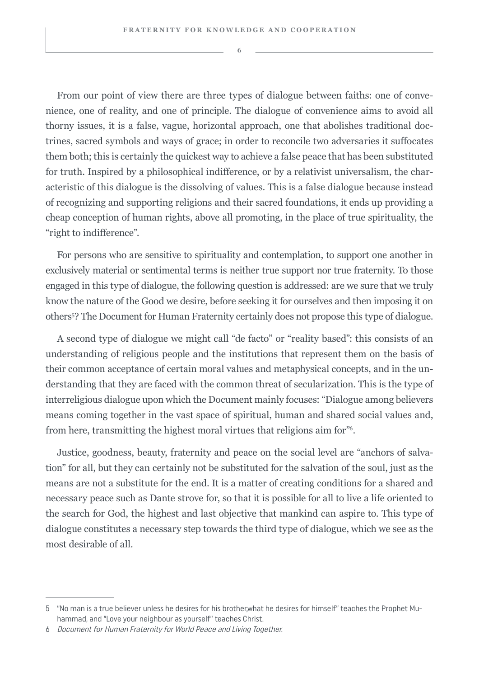From our point of view there are three types of dialogue between faiths: one of convenience, one of reality, and one of principle. The dialogue of convenience aims to avoid all thorny issues, it is a false, vague, horizontal approach, one that abolishes traditional doctrines, sacred symbols and ways of grace; in order to reconcile two adversaries it suffocates them both; this is certainly the quickest way to achieve a false peace that has been substituted for truth. Inspired by a philosophical indifference, or by a relativist universalism, the characteristic of this dialogue is the dissolving of values. This is a false dialogue because instead of recognizing and supporting religions and their sacred foundations, it ends up providing a cheap conception of human rights, above all promoting, in the place of true spirituality, the "right to indifference".

For persons who are sensitive to spirituality and contemplation, to support one another in exclusively material or sentimental terms is neither true support nor true fraternity. To those engaged in this type of dialogue, the following question is addressed: are we sure that we truly know the nature of the Good we desire, before seeking it for ourselves and then imposing it on others<sup>5</sup> ? The Document for Human Fraternity certainly does not propose this type of dialogue.

A second type of dialogue we might call "de facto" or "reality based": this consists of an understanding of religious people and the institutions that represent them on the basis of their common acceptance of certain moral values and metaphysical concepts, and in the understanding that they are faced with the common threat of secularization. This is the type of interreligious dialogue upon which the Document mainly focuses: "Dialogue among believers means coming together in the vast space of spiritual, human and shared social values and, from here, transmitting the highest moral virtues that religions aim for"<sup>6</sup>.

Justice, goodness, beauty, fraternity and peace on the social level are "anchors of salvation" for all, but they can certainly not be substituted for the salvation of the soul, just as the means are not a substitute for the end. It is a matter of creating conditions for a shared and necessary peace such as Dante strove for, so that it is possible for all to live a life oriented to the search for God, the highest and last objective that mankind can aspire to. This type of dialogue constitutes a necessary step towards the third type of dialogue, which we see as the most desirable of all.

<sup>5</sup> "No man is a true believer unless he desires for his brother,what he desires for himself" teaches the Prophet Muhammad, and "Love your neighbour as yourself" teaches Christ.

<sup>6</sup> Document for Human Fraternity for World Peace and Living Together.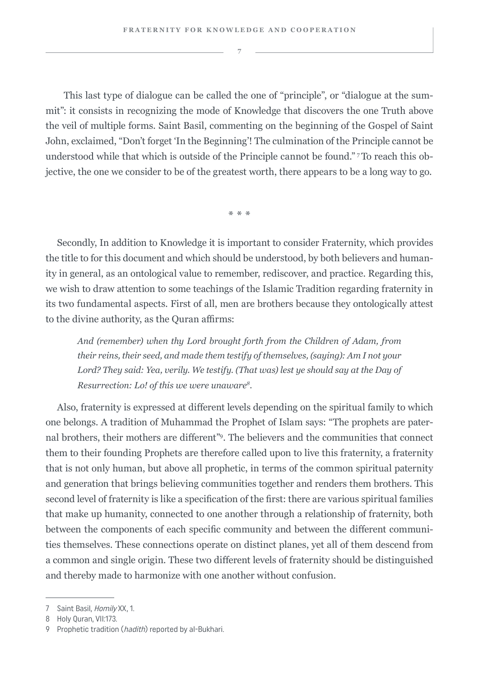This last type of dialogue can be called the one of "principle", or "dialogue at the summit": it consists in recognizing the mode of Knowledge that discovers the one Truth above the veil of multiple forms. Saint Basil, commenting on the beginning of the Gospel of Saint John, exclaimed, "Don't forget 'In the Beginning'! The culmination of the Principle cannot be understood while that which is outside of the Principle cannot be found." 7 To reach this objective, the one we consider to be of the greatest worth, there appears to be a long way to go.

\*\*\*

Secondly, In addition to Knowledge it is important to consider Fraternity, which provides the title to for this document and which should be understood, by both believers and humanity in general, as an ontological value to remember, rediscover, and practice. Regarding this, we wish to draw attention to some teachings of the Islamic Tradition regarding fraternity in its two fundamental aspects. First of all, men are brothers because they ontologically attest to the divine authority, as the Quran affirms:

*And (remember) when thy Lord brought forth from the Children of Adam, from their reins, their seed, and made them testify of themselves, (saying): Am I not your Lord? They said: Yea, verily. We testify. (That was) lest ye should say at the Day of Resurrection: Lo! of this we were unaware8.*

Also, fraternity is expressed at different levels depending on the spiritual family to which one belongs. A tradition of Muhammad the Prophet of Islam says: "The prophets are paternal brothers, their mothers are different"9. The believers and the communities that connect them to their founding Prophets are therefore called upon to live this fraternity, a fraternity that is not only human, but above all prophetic, in terms of the common spiritual paternity and generation that brings believing communities together and renders them brothers. This second level of fraternity is like a specification of the first: there are various spiritual families that make up humanity, connected to one another through a relationship of fraternity, both between the components of each specific community and between the different communities themselves. These connections operate on distinct planes, yet all of them descend from a common and single origin. These two different levels of fraternity should be distinguished and thereby made to harmonize with one another without confusion.

<sup>7</sup> Saint Basil, Homily XX, 1.

<sup>8</sup> Holy Quran, VII:173.

<sup>9</sup> Prophetic tradition (hadith) reported by al-Bukhari.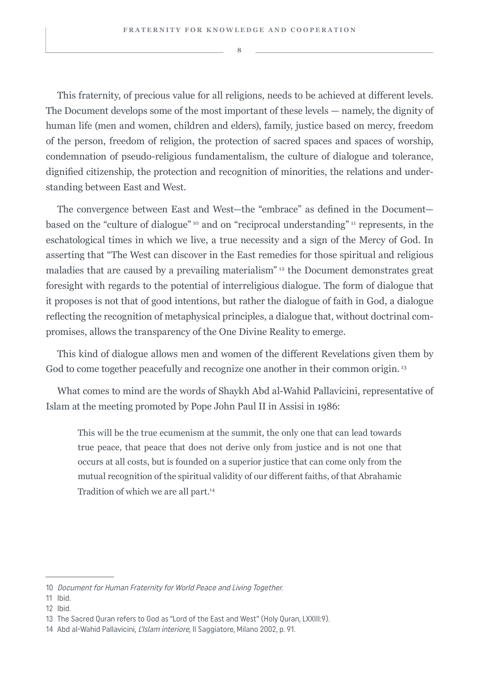This fraternity, of precious value for all religions, needs to be achieved at different levels. The Document develops some of the most important of these levels — namely, the dignity of human life (men and women, children and elders), family, justice based on mercy, freedom of the person, freedom of religion, the protection of sacred spaces and spaces of worship, condemnation of pseudo-religious fundamentalism, the culture of dialogue and tolerance, dignified citizenship, the protection and recognition of minorities, the relations and understanding between East and West.

The convergence between East and West—the "embrace" as defined in the Document based on the "culture of dialogue"<sup>10</sup> and on "reciprocal understanding" 11 represents, in the eschatological times in which we live, a true necessity and a sign of the Mercy of God. In asserting that "The West can discover in the East remedies for those spiritual and religious maladies that are caused by a prevailing materialism" 12 the Document demonstrates great foresight with regards to the potential of interreligious dialogue. The form of dialogue that it proposes is not that of good intentions, but rather the dialogue of faith in God, a dialogue reflecting the recognition of metaphysical principles, a dialogue that, without doctrinal compromises, allows the transparency of the One Divine Reality to emerge.

This kind of dialogue allows men and women of the different Revelations given them by God to come together peacefully and recognize one another in their common origin.<sup>13</sup>

What comes to mind are the words of Shaykh Abd al-Wahid Pallavicini, representative of Islam at the meeting promoted by Pope John Paul II in Assisi in 1986:

This will be the true ecumenism at the summit, the only one that can lead towards true peace, that peace that does not derive only from justice and is not one that occurs at all costs, but is founded on a superior justice that can come only from the mutual recognition of the spiritual validity of our different faiths, of that Abrahamic Tradition of which we are all part.<sup>14</sup>

<sup>10</sup> Document for Human Fraternity for World Peace and Living Together.

<sup>11</sup> Ibid.

<sup>12</sup> Ibid.

<sup>13</sup> The Sacred Quran refers to God as "Lord of the East and West" (Holy Quran, LXXIII:9).

<sup>14</sup> Abd al-Wahid Pallavicini, L'Islam interiore, Il Saggiatore, Milano 2002, p. 91.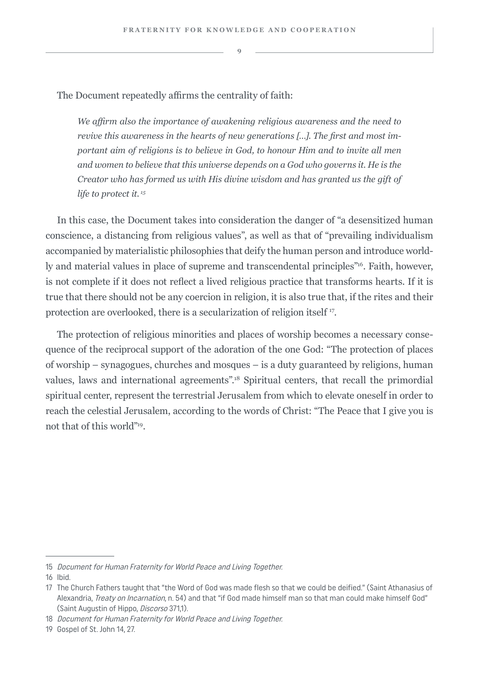The Document repeatedly affirms the centrality of faith:

*We affirm also the importance of awakening religious awareness and the need to revive this awareness in the hearts of new generations […]. The first and most important aim of religions is to believe in God, to honour Him and to invite all men and women to believe that this universe depends on a God who governs it. He is the Creator who has formed us with His divine wisdom and has granted us the gift of life to protect it. 15*

In this case, the Document takes into consideration the danger of "a desensitized human conscience, a distancing from religious values", as well as that of "prevailing individualism accompanied by materialistic philosophies that deify the human person and introduce worldly and material values in place of supreme and transcendental principles"<sup>16</sup>. Faith, however, is not complete if it does not reflect a lived religious practice that transforms hearts. If it is true that there should not be any coercion in religion, it is also true that, if the rites and their protection are overlooked, there is a secularization of religion itself <sup>17</sup>.

The protection of religious minorities and places of worship becomes a necessary consequence of the reciprocal support of the adoration of the one God: "The protection of places of worship – synagogues, churches and mosques – is a duty guaranteed by religions, human values, laws and international agreements".<sup>18</sup> Spiritual centers, that recall the primordial spiritual center, represent the terrestrial Jerusalem from which to elevate oneself in order to reach the celestial Jerusalem, according to the words of Christ: "The Peace that I give you is not that of this world"19.

<sup>15</sup> Document for Human Fraternity for World Peace and Living Together.

<sup>16</sup> Ibid.

<sup>17</sup> The Church Fathers taught that "the Word of God was made flesh so that we could be deified." (Saint Athanasius of Alexandria, *Treaty on Incarnation*, n. 54) and that "if God made himself man so that man could make himself God" (Saint Augustin of Hippo, Discorso 371,1).

<sup>18</sup> Document for Human Fraternity for World Peace and Living Together.

<sup>19</sup> Gospel of St. John 14, 27.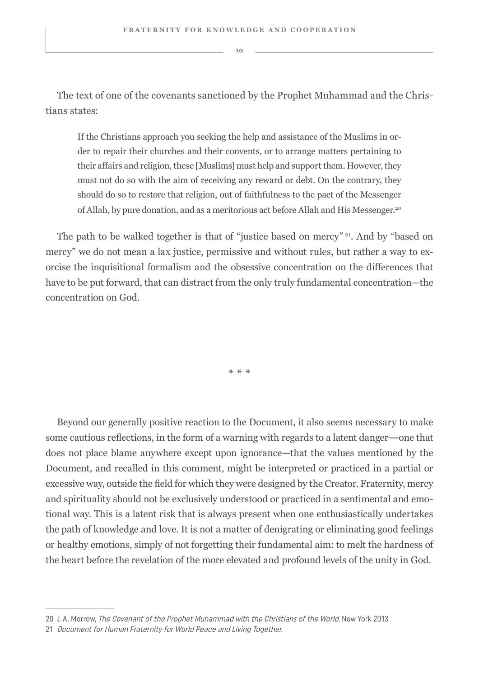The text of one of the covenants sanctioned by the Prophet Muhammad and the Christians states:

If the Christians approach you seeking the help and assistance of the Muslims in order to repair their churches and their convents, or to arrange matters pertaining to their affairs and religion, these [Muslims] must help and support them. However, they must not do so with the aim of receiving any reward or debt. On the contrary, they should do so to restore that religion, out of faithfulness to the pact of the Messenger of Allah, by pure donation, and as a meritorious act before Allah and His Messenger.20

The path to be walked together is that of "justice based on mercy" 21. And by "based on mercy" we do not mean a lax justice, permissive and without rules, but rather a way to exorcise the inquisitional formalism and the obsessive concentration on the differences that have to be put forward, that can distract from the only truly fundamental concentration—the concentration on God.

\*\*\*

Beyond our generally positive reaction to the Document, it also seems necessary to make some cautious reflections, in the form of a warning with regards to a latent danger —one that does not place blame anywhere except upon ignorance—that the values mentioned by the Document, and recalled in this comment, might be interpreted or practiced in a partial or excessive way, outside the field for which they were designed by the Creator. Fraternity, mercy and spirituality should not be exclusively understood or practiced in a sentimental and emotional way. This is a latent risk that is always present when one enthusiastically undertakes the path of knowledge and love. It is not a matter of denigrating or eliminating good feelings or healthy emotions, simply of not forgetting their fundamental aim: to melt the hardness of the heart before the revelation of the more elevated and profound levels of the unity in God.

<sup>20</sup> J. A. Morrow, The Covenant of the Prophet Muhammad with the Christians of the World. New York 2013

<sup>21</sup> Document for Human Fraternity for World Peace and Living Together.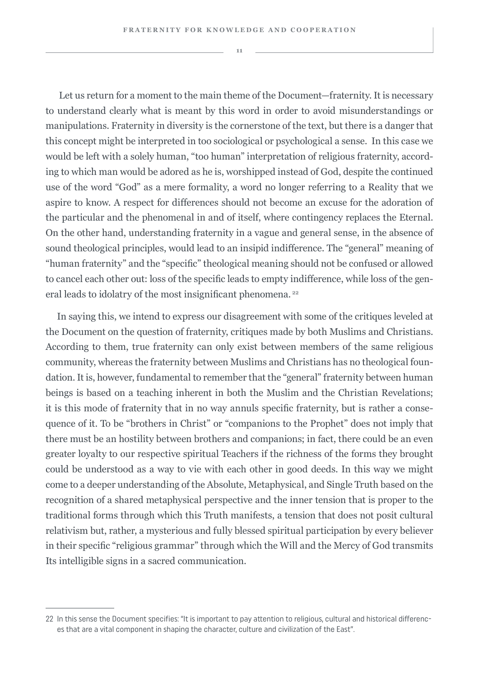Let us return for a moment to the main theme of the Document—fraternity. It is necessary to understand clearly what is meant by this word in order to avoid misunderstandings or manipulations. Fraternity in diversity is the cornerstone of the text, but there is a danger that this concept might be interpreted in too sociological or psychological a sense. In this case we would be left with a solely human, "too human" interpretation of religious fraternity, according to which man would be adored as he is, worshipped instead of God, despite the continued use of the word "God" as a mere formality, a word no longer referring to a Reality that we aspire to know. A respect for differences should not become an excuse for the adoration of the particular and the phenomenal in and of itself, where contingency replaces the Eternal. On the other hand, understanding fraternity in a vague and general sense, in the absence of sound theological principles, would lead to an insipid indifference. The "general" meaning of "human fraternity" and the "specific" theological meaning should not be confused or allowed to cancel each other out: loss of the specific leads to empty indifference, while loss of the general leads to idolatry of the most insignificant phenomena.<sup>22</sup>

In saying this, we intend to express our disagreement with some of the critiques leveled at the Document on the question of fraternity, critiques made by both Muslims and Christians. According to them, true fraternity can only exist between members of the same religious community, whereas the fraternity between Muslims and Christians has no theological foundation. It is, however, fundamental to remember that the "general" fraternity between human beings is based on a teaching inherent in both the Muslim and the Christian Revelations; it is this mode of fraternity that in no way annuls specific fraternity, but is rather a consequence of it. To be "brothers in Christ" or "companions to the Prophet" does not imply that there must be an hostility between brothers and companions; in fact, there could be an even greater loyalty to our respective spiritual Teachers if the richness of the forms they brought could be understood as a way to vie with each other in good deeds. In this way we might come to a deeper understanding of the Absolute, Metaphysical, and Single Truth based on the recognition of a shared metaphysical perspective and the inner tension that is proper to the traditional forms through which this Truth manifests, a tension that does not posit cultural relativism but, rather, a mysterious and fully blessed spiritual participation by every believer in their specific "religious grammar" through which the Will and the Mercy of God transmits Its intelligible signs in a sacred communication.

<sup>22</sup> In this sense the Document specifies: "It is important to pay attention to religious, cultural and historical differences that are a vital component in shaping the character, culture and civilization of the East".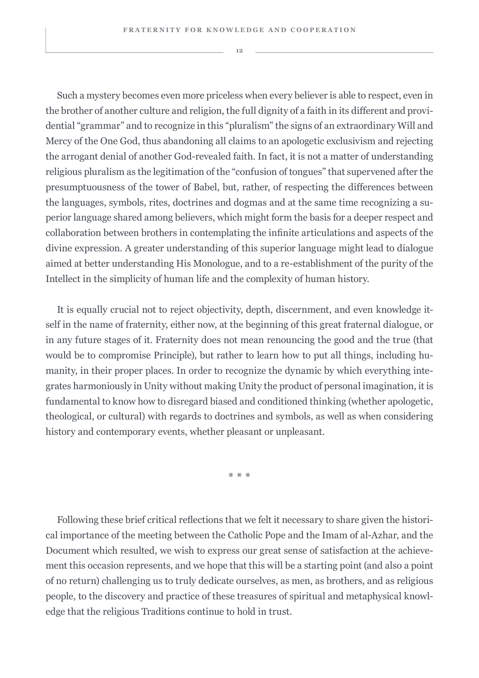Such a mystery becomes even more priceless when every believer is able to respect, even in the brother of another culture and religion, the full dignity of a faith in its different and providential "grammar" and to recognize in this "pluralism" the signs of an extraordinary Will and Mercy of the One God, thus abandoning all claims to an apologetic exclusivism and rejecting the arrogant denial of another God-revealed faith. In fact, it is not a matter of understanding religious pluralism as the legitimation of the "confusion of tongues" that supervened after the presumptuousness of the tower of Babel, but, rather, of respecting the differences between the languages, symbols, rites, doctrines and dogmas and at the same time recognizing a superior language shared among believers, which might form the basis for a deeper respect and collaboration between brothers in contemplating the infinite articulations and aspects of the divine expression. A greater understanding of this superior language might lead to dialogue aimed at better understanding His Monologue, and to a re-establishment of the purity of the Intellect in the simplicity of human life and the complexity of human history.

It is equally crucial not to reject objectivity, depth, discernment, and even knowledge itself in the name of fraternity, either now, at the beginning of this great fraternal dialogue, or in any future stages of it. Fraternity does not mean renouncing the good and the true (that would be to compromise Principle), but rather to learn how to put all things, including humanity, in their proper places. In order to recognize the dynamic by which everything integrates harmoniously in Unity without making Unity the product of personal imagination, it is fundamental to know how to disregard biased and conditioned thinking (whether apologetic, theological, or cultural) with regards to doctrines and symbols, as well as when considering history and contemporary events, whether pleasant or unpleasant.

\*\*\*

Following these brief critical reflections that we felt it necessary to share given the historical importance of the meeting between the Catholic Pope and the Imam of al-Azhar, and the Document which resulted, we wish to express our great sense of satisfaction at the achievement this occasion represents, and we hope that this will be a starting point (and also a point of no return) challenging us to truly dedicate ourselves, as men, as brothers, and as religious people, to the discovery and practice of these treasures of spiritual and metaphysical knowledge that the religious Traditions continue to hold in trust.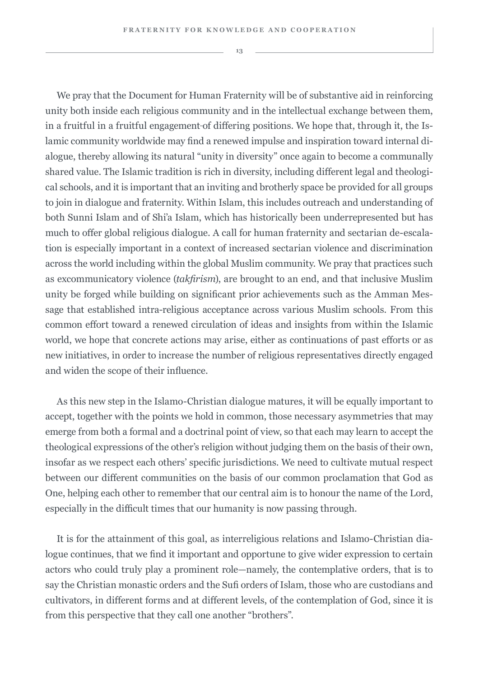We pray that the Document for Human Fraternity will be of substantive aid in reinforcing unity both inside each religious community and in the intellectual exchange between them, in a fruitful in a fruitful engagement of differing positions. We hope that, through it, the Islamic community worldwide may find a renewed impulse and inspiration toward internal dialogue, thereby allowing its natural "unity in diversity" once again to become a communally shared value. The Islamic tradition is rich in diversity, including different legal and theological schools, and it is important that an inviting and brotherly space be provided for all groups to join in dialogue and fraternity. Within Islam, this includes outreach and understanding of both Sunni Islam and of Shi'a Islam, which has historically been underrepresented but has much to offer global religious dialogue. A call for human fraternity and sectarian de-escalation is especially important in a context of increased sectarian violence and discrimination across the world including within the global Muslim community. We pray that practices such as excommunicatory violence (*takfirism*), are brought to an end, and that inclusive Muslim unity be forged while building on significant prior achievements such as the Amman Message that established intra-religious acceptance across various Muslim schools. From this common effort toward a renewed circulation of ideas and insights from within the Islamic world, we hope that concrete actions may arise, either as continuations of past efforts or as new initiatives, in order to increase the number of religious representatives directly engaged and widen the scope of their influence.

As this new step in the Islamo-Christian dialogue matures, it will be equally important to accept, together with the points we hold in common, those necessary asymmetries that may emerge from both a formal and a doctrinal point of view, so that each may learn to accept the theological expressions of the other's religion without judging them on the basis of their own, insofar as we respect each others' specific jurisdictions. We need to cultivate mutual respect between our different communities on the basis of our common proclamation that God as One, helping each other to remember that our central aim is to honour the name of the Lord, especially in the difficult times that our humanity is now passing through.

It is for the attainment of this goal, as interreligious relations and Islamo-Christian dialogue continues, that we find it important and opportune to give wider expression to certain actors who could truly play a prominent role—namely, the contemplative orders, that is to say the Christian monastic orders and the Sufi orders of Islam, those who are custodians and cultivators, in different forms and at different levels, of the contemplation of God, since it is from this perspective that they call one another "brothers".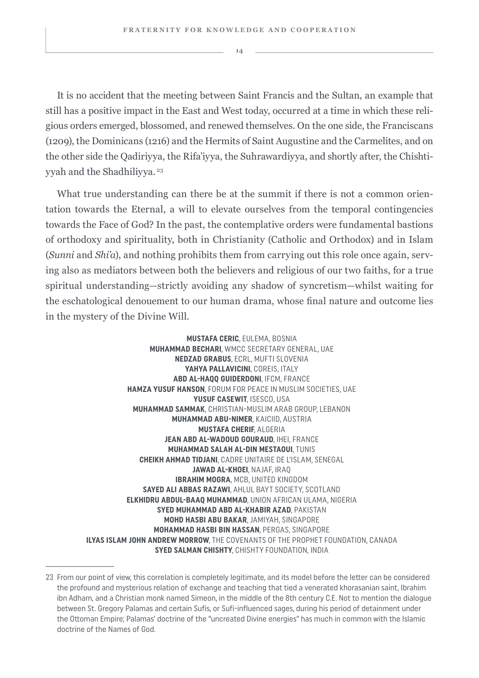It is no accident that the meeting between Saint Francis and the Sultan, an example that still has a positive impact in the East and West today, occurred at a time in which these religious orders emerged, blossomed, and renewed themselves. On the one side, the Franciscans (1209), the Dominicans (1216) and the Hermits of Saint Augustine and the Carmelites, and on the other side the Qadiriyya, the Rifa'iyya, the Suhrawardiyya, and shortly after, the Chishtiyyah and the Shadhiliyya.<sup>23</sup>

What true understanding can there be at the summit if there is not a common orientation towards the Eternal, a will to elevate ourselves from the temporal contingencies towards the Face of God? In the past, the contemplative orders were fundamental bastions of orthodoxy and spirituality, both in Christianity (Catholic and Orthodox) and in Islam (*Sunni* and *Shi'a*), and nothing prohibits them from carrying out this role once again, serving also as mediators between both the believers and religious of our two faiths, for a true spiritual understanding—strictly avoiding any shadow of syncretism—whilst waiting for the eschatological denouement to our human drama, whose final nature and outcome lies in the mystery of the Divine Will.

> **MUSTAFA CERIC**, EULEMA, BOSNIA **MUHAMMAD BECHARI**, WMCC SECRETARY GENERAL, UAE **NEDZAD GRABUS**, ECRL, MUFTI SLOVENIA **YAHYA PALLAVICINI**, COREIS, ITALY **ABD AL-HAQQ GUIDERDONI**, IFCM, FRANCE **HAMZA YUSUF HANSON**, FORUM FOR PEACE IN MUSLIM SOCIETIES, UAE **YUSUF CASEWIT**, ISESCO, USA **MUHAMMAD SAMMAK**, CHRISTIAN-MUSLIM ARAB GROUP, LEBANON **MUHAMMAD ABU-NIMER**, KAICIID, AUSTRIA **MUSTAFA CHERIF**, ALGERIA **JEAN ABD AL-WADOUD GOURAUD**, IHEI, FRANCE **MUHAMMAD SALAH AL-DIN MESTAOUI**, TUNIS **CHEIKH AHMAD TIDJANI**, CADRE UNITAIRE DE L'ISLAM, SENEGAL **JAWAD AL-KHOEI**, NAJAF, IRAQ **IBRAHIM MOGRA**, MCB, UNITED KINGDOM **SAYED ALI ABBAS RAZAWI**, AHLUL BAYT SOCIETY, SCOTLAND **ELKHIDRU ABDUL-BAAQ MUHAMMAD**, UNION AFRICAN ULAMA, NIGERIA **SYED MUHAMMAD ABD AL-KHABIR AZAD**, PAKISTAN **MOHD HASBI ABU BAKAR**, JAMIYAH, SINGAPORE **MOHAMMAD HASBI BIN HASSAN**, PERGAS, SINGAPORE **ILYAS ISLAM JOHN ANDREW MORROW**, THE COVENANTS OF THE PROPHET FOUNDATION, CANADA **SYED SALMAN CHISHTY**, CHISHTY FOUNDATION, INDIA

<sup>23</sup> From our point of view, this correlation is completely legitimate, and its model before the letter can be considered the profound and mysterious relation of exchange and teaching that tied a venerated khorasanian saint, Ibrahim ibn Adham, and a Christian monk named Simeon, in the middle of the 8th century C.E. Not to mention the dialogue between St. Gregory Palamas and certain Sufis, or Sufi-influenced sages, during his period of detainment under the Ottoman Empire; Palamas' doctrine of the "uncreated Divine energies" has much in common with the Islamic doctrine of the Names of God.